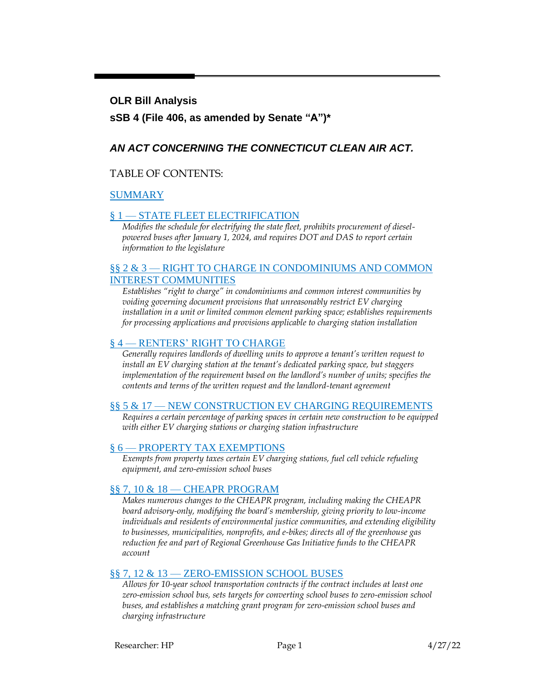#### **OLR Bill Analysis**

### **sSB 4 (File 406, as amended by Senate "A")\***

### *AN ACT CONCERNING THE CONNECTICUT CLEAN AIR ACT.*

#### TABLE OF CONTENTS:

#### [SUMMARY](#page-1-0)

#### § 1 — [STATE FLEET ELECTRIFICATION](#page-2-0)

*Modifies the schedule for electrifying the state fleet, prohibits procurement of dieselpowered buses after January 1, 2024, and requires DOT and DAS to report certain information to the legislature*

#### §§ 2 & 3 — [RIGHT TO CHARGE IN CONDOMINIUMS AND COMMON](#page-4-0)  [INTEREST COMMUNITIES](#page-4-0)

*Establishes "right to charge" in condominiums and common interest communities by voiding governing document provisions that unreasonably restrict EV charging installation in a unit or limited common element parking space; establishes requirements for processing applications and provisions applicable to charging station installation*

#### § 4 — [RENTERS' RIGHT TO CHARGE](#page-7-0)

*Generally requires landlords of dwelling units to approve a tenant's written request to install an EV charging station at the tenant's dedicated parking space, but staggers implementation of the requirement based on the landlord's number of units; specifies the contents and terms of the written request and the landlord-tenant agreement*

#### §§ 5 & 17 — [NEW CONSTRUCTION EV CHARGING REQUIREMENTS](#page-10-0)

*Requires a certain percentage of parking spaces in certain new construction to be equipped with either EV charging stations or charging station infrastructure*

#### § 6 — [PROPERTY TAX EXEMPTIONS](#page-11-0)

*Exempts from property taxes certain EV charging stations, fuel cell vehicle refueling equipment, and zero-emission school buses*

#### §§ 7, 10 & 18 — [CHEAPR PROGRAM](#page-11-1)

*Makes numerous changes to the CHEAPR program, including making the CHEAPR board advisory-only, modifying the board's membership, giving priority to low-income individuals and residents of environmental justice communities, and extending eligibility to businesses, municipalities, nonprofits, and e-bikes; directs all of the greenhouse gas reduction fee and part of Regional Greenhouse Gas Initiative funds to the CHEAPR account*

#### §§ 7, 12 & 13 — [ZERO-EMISSION SCHOOL BUSES](#page-15-0)

*Allows for 10-year school transportation contracts if the contract includes at least one zero-emission school bus, sets targets for converting school buses to zero-emission school buses, and establishes a matching grant program for zero-emission school buses and charging infrastructure*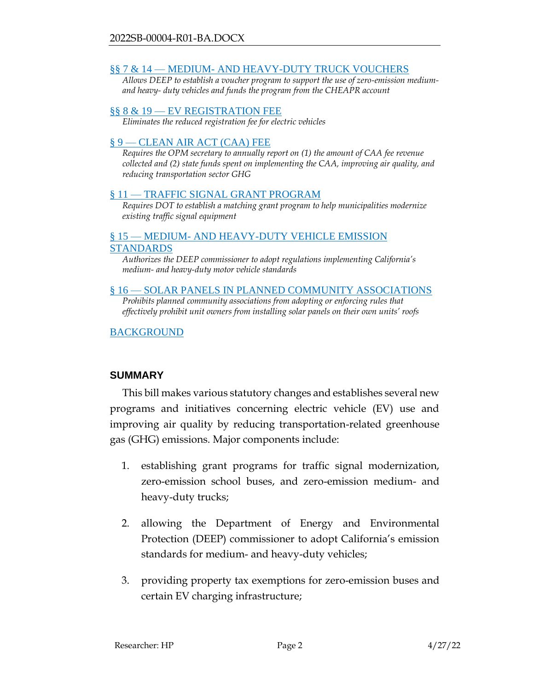#### §§ 7 & 14 — MEDIUM- [AND HEAVY-DUTY TRUCK VOUCHERS](#page-16-0)

*Allows DEEP to establish a voucher program to support the use of zero-emission mediumand heavy- duty vehicles and funds the program from the CHEAPR account*

#### §§ 8 & 19 — [EV REGISTRATION FEE](#page-17-0)

*Eliminates the reduced registration fee for electric vehicles*

#### § 9 — [CLEAN AIR ACT \(CAA\) FEE](#page-17-1)

*Requires the OPM secretary to annually report on (1) the amount of CAA fee revenue collected and (2) state funds spent on implementing the CAA, improving air quality, and reducing transportation sector GHG*

#### § 11 — [TRAFFIC SIGNAL GRANT PROGRAM](#page-18-0)

*Requires DOT to establish a matching grant program to help municipalities modernize existing traffic signal equipment*

#### § 15 — MEDIUM- [AND HEAVY-DUTY VEHICLE EMISSION](#page-18-1)  [STANDARDS](#page-18-1)

*Authorizes the DEEP commissioner to adopt regulations implementing California's medium- and heavy-duty motor vehicle standards*

#### § 16 — [SOLAR PANELS IN PLANNED COMMUNITY ASSOCIATIONS](#page-19-0)

Prohibits planned community associations from adopting or enforcing rules that *effectively prohibit unit owners from installing solar panels on their own units' roofs*

#### [BACKGROUND](#page-19-1)

#### <span id="page-1-0"></span>**SUMMARY**

This bill makes various statutory changes and establishes several new programs and initiatives concerning electric vehicle (EV) use and improving air quality by reducing transportation-related greenhouse gas (GHG) emissions. Major components include:

- 1. establishing grant programs for traffic signal modernization, zero-emission school buses, and zero-emission medium- and heavy-duty trucks;
- 2. allowing the Department of Energy and Environmental Protection (DEEP) commissioner to adopt California's emission standards for medium- and heavy-duty vehicles;
- 3. providing property tax exemptions for zero-emission buses and certain EV charging infrastructure;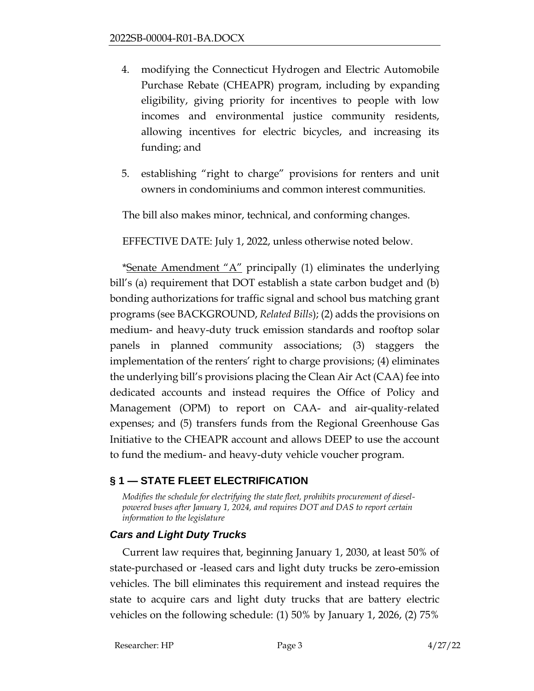- 4. modifying the Connecticut Hydrogen and Electric Automobile Purchase Rebate (CHEAPR) program, including by expanding eligibility, giving priority for incentives to people with low incomes and environmental justice community residents, allowing incentives for electric bicycles, and increasing its funding; and
- 5. establishing "right to charge" provisions for renters and unit owners in condominiums and common interest communities.

The bill also makes minor, technical, and conforming changes.

EFFECTIVE DATE: July 1, 2022, unless otherwise noted below.

\*Senate Amendment " $A$ " principally (1) eliminates the underlying bill's (a) requirement that DOT establish a state carbon budget and (b) bonding authorizations for traffic signal and school bus matching grant programs (see BACKGROUND, *Related Bills*); (2) adds the provisions on medium- and heavy-duty truck emission standards and rooftop solar panels in planned community associations; (3) staggers the implementation of the renters' right to charge provisions; (4) eliminates the underlying bill's provisions placing the Clean Air Act (CAA) fee into dedicated accounts and instead requires the Office of Policy and Management (OPM) to report on CAA- and air-quality-related expenses; and (5) transfers funds from the Regional Greenhouse Gas Initiative to the CHEAPR account and allows DEEP to use the account to fund the medium- and heavy-duty vehicle voucher program.

## <span id="page-2-0"></span>**§ 1 — STATE FLEET ELECTRIFICATION**

*Modifies the schedule for electrifying the state fleet, prohibits procurement of dieselpowered buses after January 1, 2024, and requires DOT and DAS to report certain information to the legislature*

## *Cars and Light Duty Trucks*

Current law requires that, beginning January 1, 2030, at least 50% of state-purchased or -leased cars and light duty trucks be zero-emission vehicles. The bill eliminates this requirement and instead requires the state to acquire cars and light duty trucks that are battery electric vehicles on the following schedule: (1) 50% by January 1, 2026, (2) 75%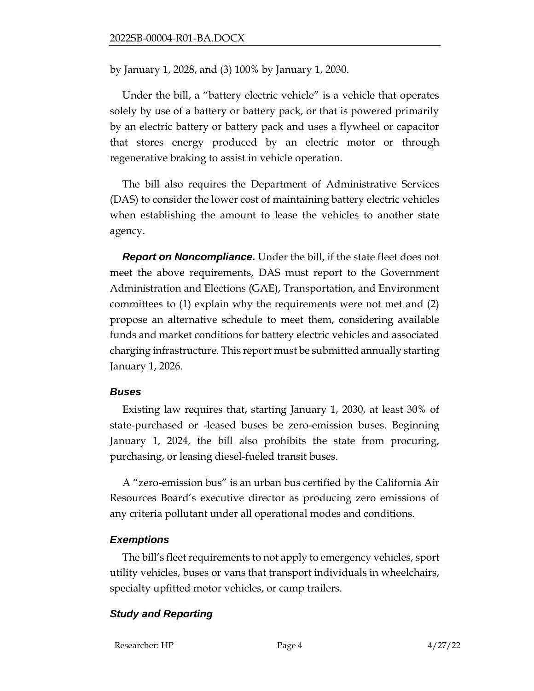by January 1, 2028, and (3) 100% by January 1, 2030.

Under the bill, a "battery electric vehicle" is a vehicle that operates solely by use of a battery or battery pack, or that is powered primarily by an electric battery or battery pack and uses a flywheel or capacitor that stores energy produced by an electric motor or through regenerative braking to assist in vehicle operation.

The bill also requires the Department of Administrative Services (DAS) to consider the lower cost of maintaining battery electric vehicles when establishing the amount to lease the vehicles to another state agency.

*Report on Noncompliance.* Under the bill, if the state fleet does not meet the above requirements, DAS must report to the Government Administration and Elections (GAE), Transportation, and Environment committees to (1) explain why the requirements were not met and (2) propose an alternative schedule to meet them, considering available funds and market conditions for battery electric vehicles and associated charging infrastructure. This report must be submitted annually starting January 1, 2026.

#### *Buses*

Existing law requires that, starting January 1, 2030, at least 30% of state-purchased or -leased buses be zero-emission buses. Beginning January 1, 2024, the bill also prohibits the state from procuring, purchasing, or leasing diesel-fueled transit buses.

A "zero-emission bus" is an urban bus certified by the California Air Resources Board's executive director as producing zero emissions of any criteria pollutant under all operational modes and conditions.

### *Exemptions*

The bill's fleet requirements to not apply to emergency vehicles, sport utility vehicles, buses or vans that transport individuals in wheelchairs, specialty upfitted motor vehicles, or camp trailers.

## *Study and Reporting*

Researcher: HP Page 4 4/27/22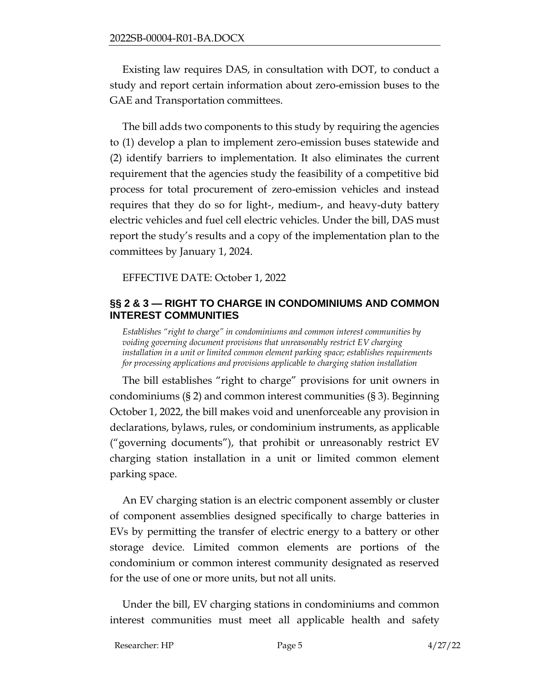Existing law requires DAS, in consultation with DOT, to conduct a study and report certain information about zero-emission buses to the GAE and Transportation committees.

The bill adds two components to this study by requiring the agencies to (1) develop a plan to implement zero-emission buses statewide and (2) identify barriers to implementation. It also eliminates the current requirement that the agencies study the feasibility of a competitive bid process for total procurement of zero-emission vehicles and instead requires that they do so for light-, medium-, and heavy-duty battery electric vehicles and fuel cell electric vehicles. Under the bill, DAS must report the study's results and a copy of the implementation plan to the committees by January 1, 2024.

EFFECTIVE DATE: October 1, 2022

#### <span id="page-4-0"></span>**§§ 2 & 3 — RIGHT TO CHARGE IN CONDOMINIUMS AND COMMON INTEREST COMMUNITIES**

*Establishes "right to charge" in condominiums and common interest communities by voiding governing document provisions that unreasonably restrict EV charging installation in a unit or limited common element parking space; establishes requirements for processing applications and provisions applicable to charging station installation*

The bill establishes "right to charge" provisions for unit owners in condominiums (§ 2) and common interest communities (§ 3). Beginning October 1, 2022, the bill makes void and unenforceable any provision in declarations, bylaws, rules, or condominium instruments, as applicable ("governing documents"), that prohibit or unreasonably restrict EV charging station installation in a unit or limited common element parking space.

An EV charging station is an electric component assembly or cluster of component assemblies designed specifically to charge batteries in EVs by permitting the transfer of electric energy to a battery or other storage device. Limited common elements are portions of the condominium or common interest community designated as reserved for the use of one or more units, but not all units.

Under the bill, EV charging stations in condominiums and common interest communities must meet all applicable health and safety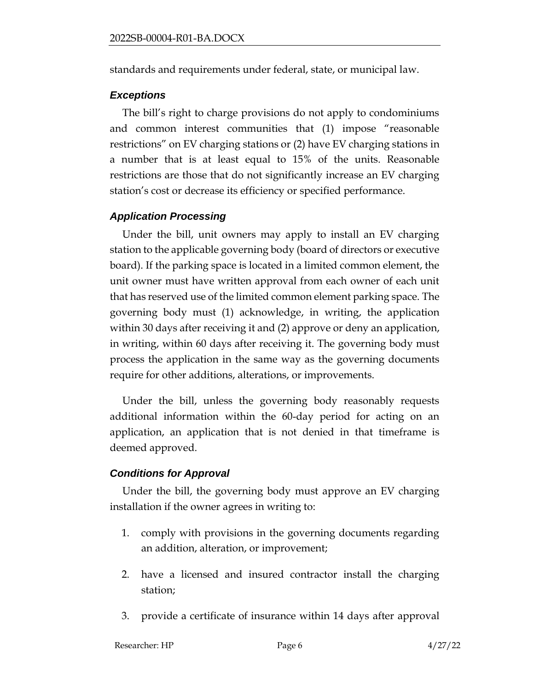standards and requirements under federal, state, or municipal law.

#### *Exceptions*

The bill's right to charge provisions do not apply to condominiums and common interest communities that (1) impose "reasonable restrictions" on EV charging stations or (2) have EV charging stations in a number that is at least equal to 15% of the units. Reasonable restrictions are those that do not significantly increase an EV charging station's cost or decrease its efficiency or specified performance.

### *Application Processing*

Under the bill, unit owners may apply to install an EV charging station to the applicable governing body (board of directors or executive board). If the parking space is located in a limited common element, the unit owner must have written approval from each owner of each unit that has reserved use of the limited common element parking space. The governing body must (1) acknowledge, in writing, the application within 30 days after receiving it and (2) approve or deny an application, in writing, within 60 days after receiving it. The governing body must process the application in the same way as the governing documents require for other additions, alterations, or improvements.

Under the bill, unless the governing body reasonably requests additional information within the 60-day period for acting on an application, an application that is not denied in that timeframe is deemed approved.

### *Conditions for Approval*

Under the bill, the governing body must approve an EV charging installation if the owner agrees in writing to:

- 1. comply with provisions in the governing documents regarding an addition, alteration, or improvement;
- 2. have a licensed and insured contractor install the charging station;
- 3. provide a certificate of insurance within 14 days after approval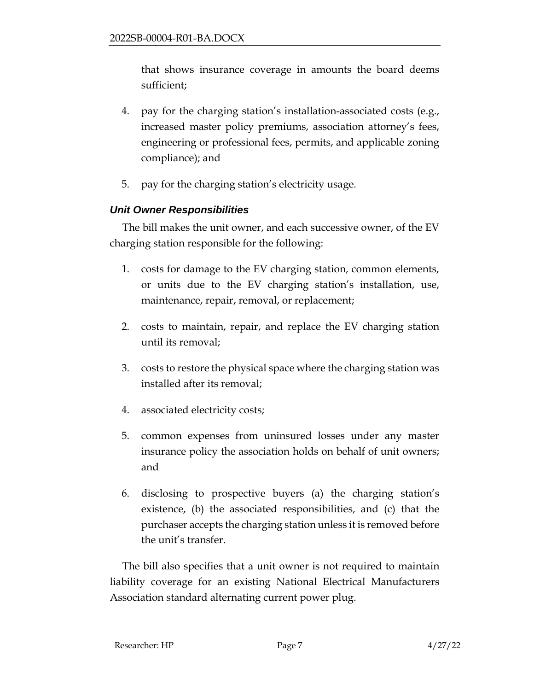that shows insurance coverage in amounts the board deems sufficient;

- 4. pay for the charging station's installation-associated costs (e.g., increased master policy premiums, association attorney's fees, engineering or professional fees, permits, and applicable zoning compliance); and
- 5. pay for the charging station's electricity usage.

## *Unit Owner Responsibilities*

The bill makes the unit owner, and each successive owner, of the EV charging station responsible for the following:

- 1. costs for damage to the EV charging station, common elements, or units due to the EV charging station's installation, use, maintenance, repair, removal, or replacement;
- 2. costs to maintain, repair, and replace the EV charging station until its removal;
- 3. costs to restore the physical space where the charging station was installed after its removal;
- 4. associated electricity costs;
- 5. common expenses from uninsured losses under any master insurance policy the association holds on behalf of unit owners; and
- 6. disclosing to prospective buyers (a) the charging station's existence, (b) the associated responsibilities, and (c) that the purchaser accepts the charging station unless it is removed before the unit's transfer.

The bill also specifies that a unit owner is not required to maintain liability coverage for an existing National Electrical Manufacturers Association standard alternating current power plug.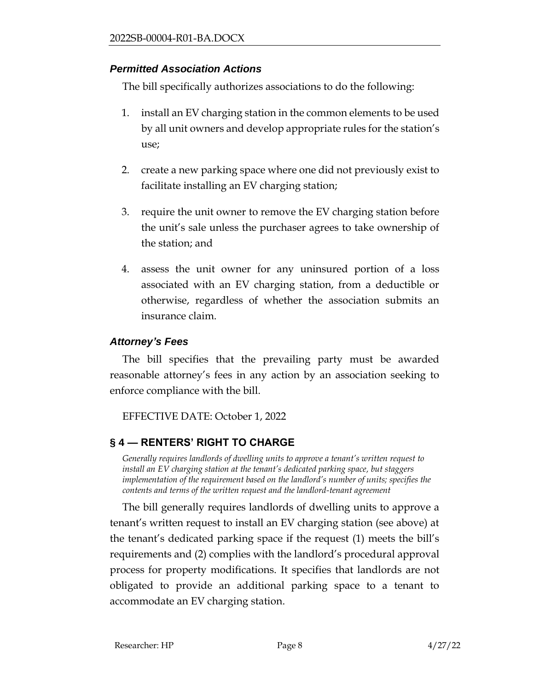## *Permitted Association Actions*

The bill specifically authorizes associations to do the following:

- 1. install an EV charging station in the common elements to be used by all unit owners and develop appropriate rules for the station's use;
- 2. create a new parking space where one did not previously exist to facilitate installing an EV charging station;
- 3. require the unit owner to remove the EV charging station before the unit's sale unless the purchaser agrees to take ownership of the station; and
- 4. assess the unit owner for any uninsured portion of a loss associated with an EV charging station, from a deductible or otherwise, regardless of whether the association submits an insurance claim.

# *Attorney's Fees*

The bill specifies that the prevailing party must be awarded reasonable attorney's fees in any action by an association seeking to enforce compliance with the bill.

EFFECTIVE DATE: October 1, 2022

# <span id="page-7-0"></span>**§ 4 — RENTERS' RIGHT TO CHARGE**

*Generally requires landlords of dwelling units to approve a tenant's written request to install an EV charging station at the tenant's dedicated parking space, but staggers implementation of the requirement based on the landlord's number of units; specifies the contents and terms of the written request and the landlord-tenant agreement*

The bill generally requires landlords of dwelling units to approve a tenant's written request to install an EV charging station (see above) at the tenant's dedicated parking space if the request (1) meets the bill's requirements and (2) complies with the landlord's procedural approval process for property modifications. It specifies that landlords are not obligated to provide an additional parking space to a tenant to accommodate an EV charging station.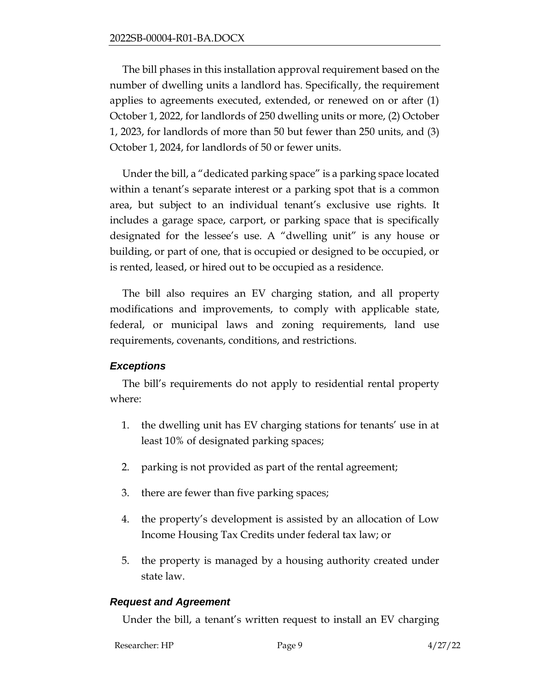The bill phases in this installation approval requirement based on the number of dwelling units a landlord has. Specifically, the requirement applies to agreements executed, extended, or renewed on or after (1) October 1, 2022, for landlords of 250 dwelling units or more, (2) October 1, 2023, for landlords of more than 50 but fewer than 250 units, and (3) October 1, 2024, for landlords of 50 or fewer units.

Under the bill, a "dedicated parking space" is a parking space located within a tenant's separate interest or a parking spot that is a common area, but subject to an individual tenant's exclusive use rights. It includes a garage space, carport, or parking space that is specifically designated for the lessee's use. A "dwelling unit" is any house or building, or part of one, that is occupied or designed to be occupied, or is rented, leased, or hired out to be occupied as a residence.

The bill also requires an EV charging station, and all property modifications and improvements, to comply with applicable state, federal, or municipal laws and zoning requirements, land use requirements, covenants, conditions, and restrictions.

### *Exceptions*

The bill's requirements do not apply to residential rental property where:

- 1. the dwelling unit has EV charging stations for tenants' use in at least 10% of designated parking spaces;
- 2. parking is not provided as part of the rental agreement;
- 3. there are fewer than five parking spaces;
- 4. the property's development is assisted by an allocation of Low Income Housing Tax Credits under federal tax law; or
- 5. the property is managed by a housing authority created under state law.

#### *Request and Agreement*

Under the bill, a tenant's written request to install an EV charging

| Researcher: HP | Page 9 | 4/27/22 |
|----------------|--------|---------|
|                |        |         |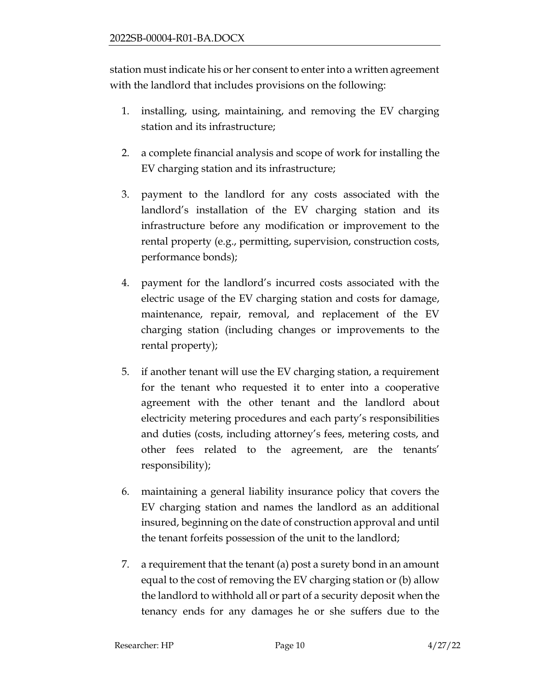station must indicate his or her consent to enter into a written agreement with the landlord that includes provisions on the following:

- 1. installing, using, maintaining, and removing the EV charging station and its infrastructure;
- 2. a complete financial analysis and scope of work for installing the EV charging station and its infrastructure;
- 3. payment to the landlord for any costs associated with the landlord's installation of the EV charging station and its infrastructure before any modification or improvement to the rental property (e.g., permitting, supervision, construction costs, performance bonds);
- 4. payment for the landlord's incurred costs associated with the electric usage of the EV charging station and costs for damage, maintenance, repair, removal, and replacement of the EV charging station (including changes or improvements to the rental property);
- 5. if another tenant will use the EV charging station, a requirement for the tenant who requested it to enter into a cooperative agreement with the other tenant and the landlord about electricity metering procedures and each party's responsibilities and duties (costs, including attorney's fees, metering costs, and other fees related to the agreement, are the tenants' responsibility);
- 6. maintaining a general liability insurance policy that covers the EV charging station and names the landlord as an additional insured, beginning on the date of construction approval and until the tenant forfeits possession of the unit to the landlord;
- 7. a requirement that the tenant (a) post a surety bond in an amount equal to the cost of removing the EV charging station or (b) allow the landlord to withhold all or part of a security deposit when the tenancy ends for any damages he or she suffers due to the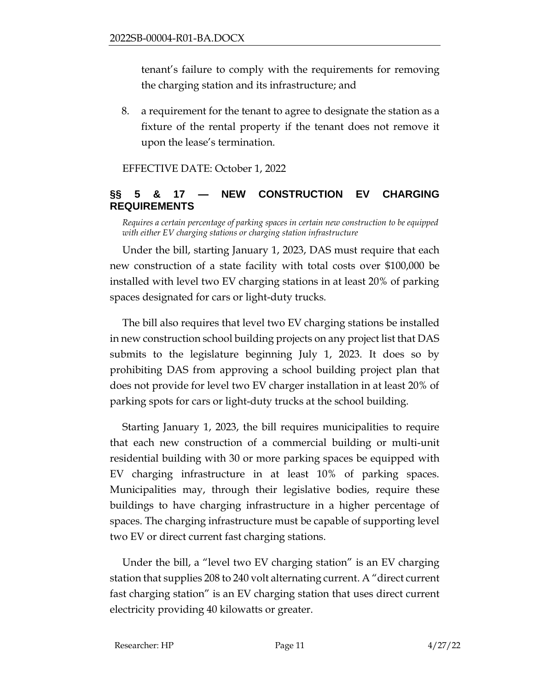tenant's failure to comply with the requirements for removing the charging station and its infrastructure; and

8. a requirement for the tenant to agree to designate the station as a fixture of the rental property if the tenant does not remove it upon the lease's termination.

EFFECTIVE DATE: October 1, 2022

## <span id="page-10-0"></span>**§§ 5 & 17 — NEW CONSTRUCTION EV CHARGING REQUIREMENTS**

*Requires a certain percentage of parking spaces in certain new construction to be equipped with either EV charging stations or charging station infrastructure*

Under the bill, starting January 1, 2023, DAS must require that each new construction of a state facility with total costs over \$100,000 be installed with level two EV charging stations in at least 20% of parking spaces designated for cars or light-duty trucks.

The bill also requires that level two EV charging stations be installed in new construction school building projects on any project list that DAS submits to the legislature beginning July 1, 2023. It does so by prohibiting DAS from approving a school building project plan that does not provide for level two EV charger installation in at least 20% of parking spots for cars or light-duty trucks at the school building.

Starting January 1, 2023, the bill requires municipalities to require that each new construction of a commercial building or multi-unit residential building with 30 or more parking spaces be equipped with EV charging infrastructure in at least 10% of parking spaces. Municipalities may, through their legislative bodies, require these buildings to have charging infrastructure in a higher percentage of spaces. The charging infrastructure must be capable of supporting level two EV or direct current fast charging stations.

Under the bill, a "level two EV charging station" is an EV charging station that supplies 208 to 240 volt alternating current. A "direct current fast charging station" is an EV charging station that uses direct current electricity providing 40 kilowatts or greater.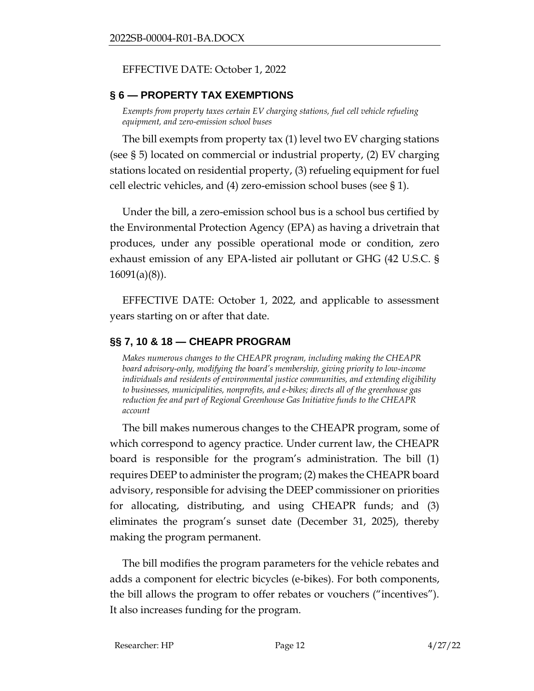#### EFFECTIVE DATE: October 1, 2022

### <span id="page-11-0"></span>**§ 6 — PROPERTY TAX EXEMPTIONS**

*Exempts from property taxes certain EV charging stations, fuel cell vehicle refueling equipment, and zero-emission school buses*

The bill exempts from property tax (1) level two EV charging stations (see § 5) located on commercial or industrial property, (2) EV charging stations located on residential property, (3) refueling equipment for fuel cell electric vehicles, and (4) zero-emission school buses (see § 1).

Under the bill, a zero-emission school bus is a school bus certified by the Environmental Protection Agency (EPA) as having a drivetrain that produces, under any possible operational mode or condition, zero exhaust emission of any EPA-listed air pollutant or GHG (42 U.S.C. § 16091(a)(8)).

EFFECTIVE DATE: October 1, 2022, and applicable to assessment years starting on or after that date.

## <span id="page-11-1"></span>**§§ 7, 10 & 18 — CHEAPR PROGRAM**

*Makes numerous changes to the CHEAPR program, including making the CHEAPR board advisory-only, modifying the board's membership, giving priority to low-income individuals and residents of environmental justice communities, and extending eligibility to businesses, municipalities, nonprofits, and e-bikes; directs all of the greenhouse gas reduction fee and part of Regional Greenhouse Gas Initiative funds to the CHEAPR account* 

The bill makes numerous changes to the CHEAPR program, some of which correspond to agency practice. Under current law, the CHEAPR board is responsible for the program's administration. The bill (1) requires DEEP to administer the program; (2) makes the CHEAPR board advisory, responsible for advising the DEEP commissioner on priorities for allocating, distributing, and using CHEAPR funds; and (3) eliminates the program's sunset date (December 31, 2025), thereby making the program permanent.

The bill modifies the program parameters for the vehicle rebates and adds a component for electric bicycles (e-bikes). For both components, the bill allows the program to offer rebates or vouchers ("incentives"). It also increases funding for the program.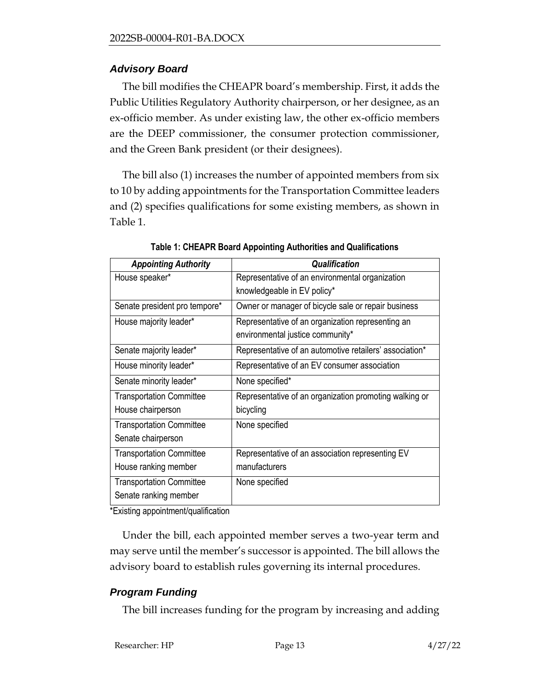## *Advisory Board*

The bill modifies the CHEAPR board's membership. First, it adds the Public Utilities Regulatory Authority chairperson, or her designee, as an ex-officio member. As under existing law, the other ex-officio members are the DEEP commissioner, the consumer protection commissioner, and the Green Bank president (or their designees).

The bill also (1) increases the number of appointed members from six to 10 by adding appointments for the Transportation Committee leaders and (2) specifies qualifications for some existing members, as shown in Table 1.

| <b>Appointing Authority</b>     | Qualification                                           |
|---------------------------------|---------------------------------------------------------|
| House speaker*                  | Representative of an environmental organization         |
|                                 | knowledgeable in EV policy*                             |
| Senate president pro tempore*   | Owner or manager of bicycle sale or repair business     |
| House majority leader*          | Representative of an organization representing an       |
|                                 | environmental justice community*                        |
| Senate majority leader*         | Representative of an automotive retailers' association* |
| House minority leader*          | Representative of an EV consumer association            |
| Senate minority leader*         | None specified*                                         |
| <b>Transportation Committee</b> | Representative of an organization promoting walking or  |
| House chairperson               | bicycling                                               |
| <b>Transportation Committee</b> | None specified                                          |
| Senate chairperson              |                                                         |
| <b>Transportation Committee</b> | Representative of an association representing EV        |
| House ranking member            | manufacturers                                           |
| <b>Transportation Committee</b> | None specified                                          |
| Senate ranking member           |                                                         |

**Table 1: CHEAPR Board Appointing Authorities and Qualifications**

\*Existing appointment/qualification

Under the bill, each appointed member serves a two-year term and may serve until the member's successor is appointed. The bill allows the advisory board to establish rules governing its internal procedures.

## *Program Funding*

The bill increases funding for the program by increasing and adding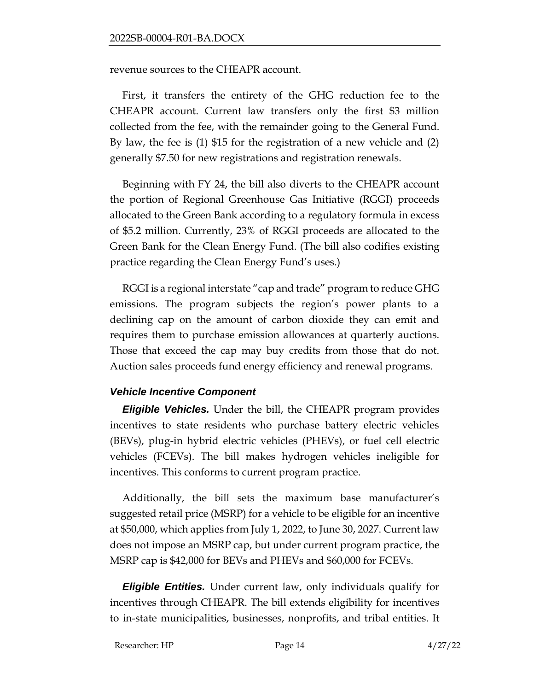revenue sources to the CHEAPR account.

First, it transfers the entirety of the GHG reduction fee to the CHEAPR account. Current law transfers only the first \$3 million collected from the fee, with the remainder going to the General Fund. By law, the fee is (1) \$15 for the registration of a new vehicle and (2) generally \$7.50 for new registrations and registration renewals.

Beginning with FY 24, the bill also diverts to the CHEAPR account the portion of Regional Greenhouse Gas Initiative (RGGI) proceeds allocated to the Green Bank according to a regulatory formula in excess of \$5.2 million. Currently, 23% of RGGI proceeds are allocated to the Green Bank for the Clean Energy Fund. (The bill also codifies existing practice regarding the Clean Energy Fund's uses.)

RGGI is a regional interstate "cap and trade" program to reduce GHG emissions. The program subjects the region's power plants to a declining cap on the amount of carbon dioxide they can emit and requires them to purchase emission allowances at quarterly auctions. Those that exceed the cap may buy credits from those that do not. Auction sales proceeds fund energy efficiency and renewal programs.

### *Vehicle Incentive Component*

*Eligible Vehicles.* Under the bill, the CHEAPR program provides incentives to state residents who purchase battery electric vehicles (BEVs), plug-in hybrid electric vehicles (PHEVs), or fuel cell electric vehicles (FCEVs). The bill makes hydrogen vehicles ineligible for incentives. This conforms to current program practice.

Additionally, the bill sets the maximum base manufacturer's suggested retail price (MSRP) for a vehicle to be eligible for an incentive at \$50,000, which applies from July 1, 2022, to June 30, 2027. Current law does not impose an MSRP cap, but under current program practice, the MSRP cap is \$42,000 for BEVs and PHEVs and \$60,000 for FCEVs.

*Eligible Entities.* Under current law, only individuals qualify for incentives through CHEAPR. The bill extends eligibility for incentives to in-state municipalities, businesses, nonprofits, and tribal entities. It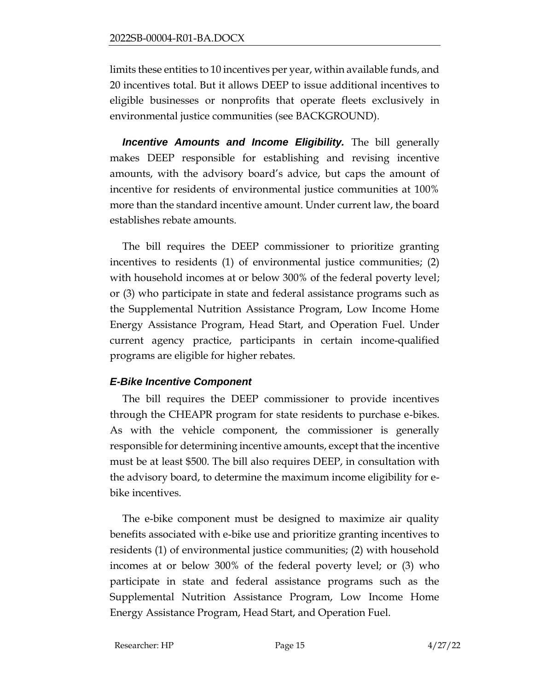limits these entities to 10 incentives per year, within available funds, and 20 incentives total. But it allows DEEP to issue additional incentives to eligible businesses or nonprofits that operate fleets exclusively in environmental justice communities (see BACKGROUND).

*Incentive Amounts and Income Eligibility.* The bill generally makes DEEP responsible for establishing and revising incentive amounts, with the advisory board's advice, but caps the amount of incentive for residents of environmental justice communities at 100% more than the standard incentive amount. Under current law, the board establishes rebate amounts.

The bill requires the DEEP commissioner to prioritize granting incentives to residents (1) of environmental justice communities; (2) with household incomes at or below 300% of the federal poverty level; or (3) who participate in state and federal assistance programs such as the Supplemental Nutrition Assistance Program, Low Income Home Energy Assistance Program, Head Start, and Operation Fuel. Under current agency practice, participants in certain income-qualified programs are eligible for higher rebates.

### *E-Bike Incentive Component*

The bill requires the DEEP commissioner to provide incentives through the CHEAPR program for state residents to purchase e-bikes. As with the vehicle component, the commissioner is generally responsible for determining incentive amounts, except that the incentive must be at least \$500. The bill also requires DEEP, in consultation with the advisory board, to determine the maximum income eligibility for ebike incentives.

The e-bike component must be designed to maximize air quality benefits associated with e-bike use and prioritize granting incentives to residents (1) of environmental justice communities; (2) with household incomes at or below 300% of the federal poverty level; or (3) who participate in state and federal assistance programs such as the Supplemental Nutrition Assistance Program, Low Income Home Energy Assistance Program, Head Start, and Operation Fuel.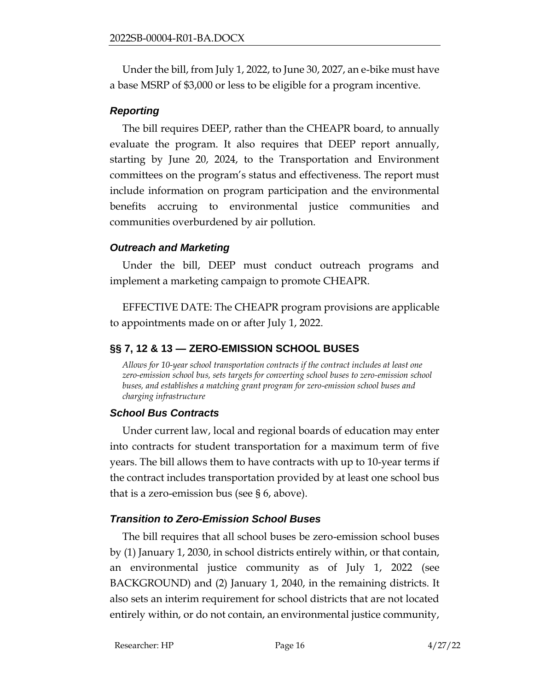Under the bill, from July 1, 2022, to June 30, 2027, an e-bike must have a base MSRP of \$3,000 or less to be eligible for a program incentive.

#### *Reporting*

The bill requires DEEP, rather than the CHEAPR board, to annually evaluate the program. It also requires that DEEP report annually, starting by June 20, 2024, to the Transportation and Environment committees on the program's status and effectiveness. The report must include information on program participation and the environmental benefits accruing to environmental justice communities and communities overburdened by air pollution.

#### *Outreach and Marketing*

Under the bill, DEEP must conduct outreach programs and implement a marketing campaign to promote CHEAPR.

EFFECTIVE DATE: The CHEAPR program provisions are applicable to appointments made on or after July 1, 2022.

## <span id="page-15-0"></span>**§§ 7, 12 & 13 — ZERO-EMISSION SCHOOL BUSES**

*Allows for 10-year school transportation contracts if the contract includes at least one zero-emission school bus, sets targets for converting school buses to zero-emission school buses, and establishes a matching grant program for zero-emission school buses and charging infrastructure*

### *School Bus Contracts*

Under current law, local and regional boards of education may enter into contracts for student transportation for a maximum term of five years. The bill allows them to have contracts with up to 10-year terms if the contract includes transportation provided by at least one school bus that is a zero-emission bus (see § 6, above).

### *Transition to Zero-Emission School Buses*

The bill requires that all school buses be zero-emission school buses by (1) January 1, 2030, in school districts entirely within, or that contain, an environmental justice community as of July 1, 2022 (see BACKGROUND) and (2) January 1, 2040, in the remaining districts. It also sets an interim requirement for school districts that are not located entirely within, or do not contain, an environmental justice community,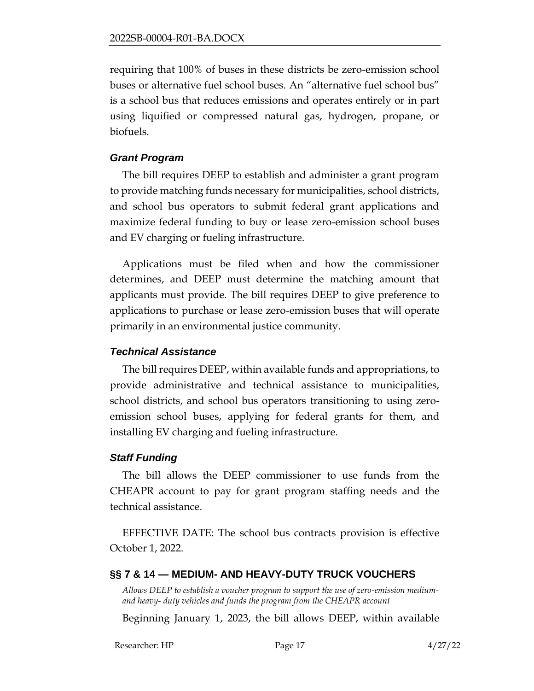requiring that 100% of buses in these districts be zero-emission school buses or alternative fuel school buses. An "alternative fuel school bus" is a school bus that reduces emissions and operates entirely or in part using liquified or compressed natural gas, hydrogen, propane, or biofuels.

#### *Grant Program*

The bill requires DEEP to establish and administer a grant program to provide matching funds necessary for municipalities, school districts, and school bus operators to submit federal grant applications and maximize federal funding to buy or lease zero-emission school buses and EV charging or fueling infrastructure.

Applications must be filed when and how the commissioner determines, and DEEP must determine the matching amount that applicants must provide. The bill requires DEEP to give preference to applications to purchase or lease zero-emission buses that will operate primarily in an environmental justice community.

#### *Technical Assistance*

The bill requires DEEP, within available funds and appropriations, to provide administrative and technical assistance to municipalities, school districts, and school bus operators transitioning to using zeroemission school buses, applying for federal grants for them, and installing EV charging and fueling infrastructure.

#### *Staff Funding*

The bill allows the DEEP commissioner to use funds from the CHEAPR account to pay for grant program staffing needs and the technical assistance.

EFFECTIVE DATE: The school bus contracts provision is effective October 1, 2022.

### <span id="page-16-0"></span>**§§ 7 & 14 — MEDIUM- AND HEAVY-DUTY TRUCK VOUCHERS**

*Allows DEEP to establish a voucher program to support the use of zero-emission mediumand heavy- duty vehicles and funds the program from the CHEAPR account*

Beginning January 1, 2023, the bill allows DEEP, within available

Researcher: HP Page 17 4/27/22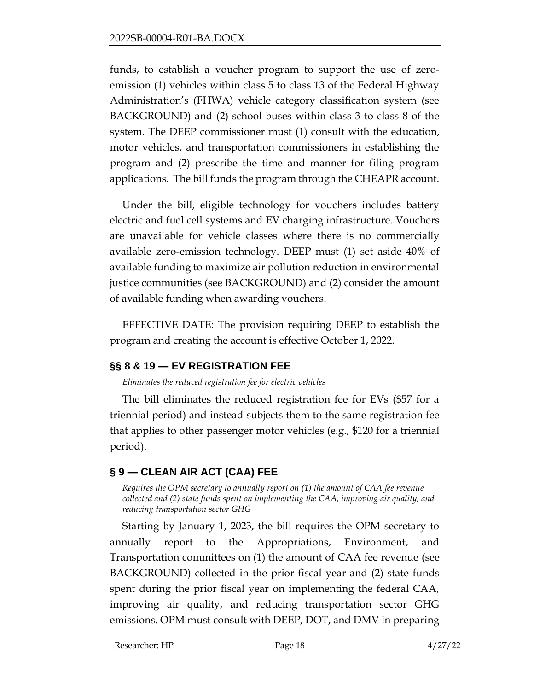funds, to establish a voucher program to support the use of zeroemission (1) vehicles within class 5 to class 13 of the Federal Highway Administration's (FHWA) vehicle category classification system (see BACKGROUND) and (2) school buses within class 3 to class 8 of the system. The DEEP commissioner must (1) consult with the education, motor vehicles, and transportation commissioners in establishing the program and (2) prescribe the time and manner for filing program applications. The bill funds the program through the CHEAPR account.

Under the bill, eligible technology for vouchers includes battery electric and fuel cell systems and EV charging infrastructure. Vouchers are unavailable for vehicle classes where there is no commercially available zero-emission technology. DEEP must (1) set aside 40% of available funding to maximize air pollution reduction in environmental justice communities (see BACKGROUND) and (2) consider the amount of available funding when awarding vouchers.

EFFECTIVE DATE: The provision requiring DEEP to establish the program and creating the account is effective October 1, 2022.

### <span id="page-17-0"></span>**§§ 8 & 19 — EV REGISTRATION FEE**

*Eliminates the reduced registration fee for electric vehicles*

The bill eliminates the reduced registration fee for EVs (\$57 for a triennial period) and instead subjects them to the same registration fee that applies to other passenger motor vehicles (e.g., \$120 for a triennial period).

## <span id="page-17-1"></span>**§ 9 — CLEAN AIR ACT (CAA) FEE**

*Requires the OPM secretary to annually report on (1) the amount of CAA fee revenue collected and (2) state funds spent on implementing the CAA, improving air quality, and reducing transportation sector GHG*

Starting by January 1, 2023, the bill requires the OPM secretary to annually report to the Appropriations, Environment, and Transportation committees on (1) the amount of CAA fee revenue (see BACKGROUND) collected in the prior fiscal year and (2) state funds spent during the prior fiscal year on implementing the federal CAA, improving air quality, and reducing transportation sector GHG emissions. OPM must consult with DEEP, DOT, and DMV in preparing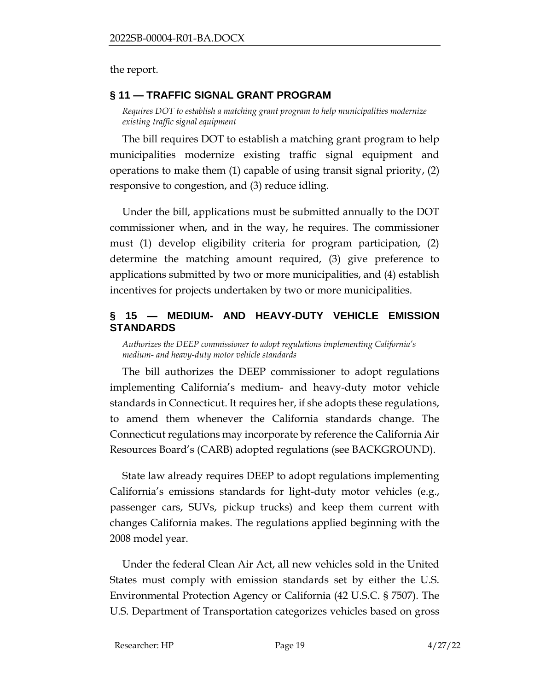the report.

#### <span id="page-18-0"></span>**§ 11 — TRAFFIC SIGNAL GRANT PROGRAM**

*Requires DOT to establish a matching grant program to help municipalities modernize existing traffic signal equipment* 

The bill requires DOT to establish a matching grant program to help municipalities modernize existing traffic signal equipment and operations to make them (1) capable of using transit signal priority, (2) responsive to congestion, and (3) reduce idling.

Under the bill, applications must be submitted annually to the DOT commissioner when, and in the way, he requires. The commissioner must (1) develop eligibility criteria for program participation, (2) determine the matching amount required, (3) give preference to applications submitted by two or more municipalities, and (4) establish incentives for projects undertaken by two or more municipalities.

### <span id="page-18-1"></span>**§ 15 — MEDIUM- AND HEAVY-DUTY VEHICLE EMISSION STANDARDS**

*Authorizes the DEEP commissioner to adopt regulations implementing California's medium- and heavy-duty motor vehicle standards* 

The bill authorizes the DEEP commissioner to adopt regulations implementing California's medium- and heavy-duty motor vehicle standards in Connecticut. It requires her, if she adopts these regulations, to amend them whenever the California standards change. The Connecticut regulations may incorporate by reference the California Air Resources Board's (CARB) adopted regulations (see BACKGROUND).

State law already requires DEEP to adopt regulations implementing California's emissions standards for light-duty motor vehicles (e.g., passenger cars, SUVs, pickup trucks) and keep them current with changes California makes. The regulations applied beginning with the 2008 model year.

Under the federal Clean Air Act, all new vehicles sold in the United States must comply with emission standards set by either the U.S. Environmental Protection Agency or California (42 U.S.C. § 7507). The U.S. Department of Transportation categorizes vehicles based on gross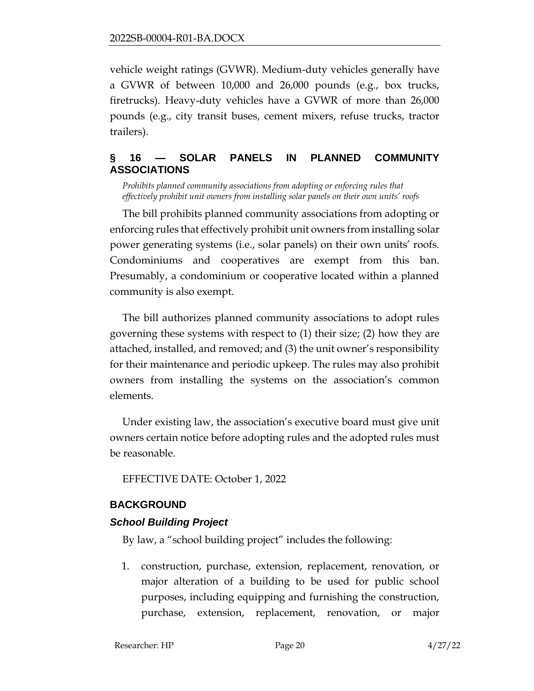vehicle weight ratings (GVWR). Medium-duty vehicles generally have a GVWR of between 10,000 and 26,000 pounds (e.g., box trucks, firetrucks). Heavy-duty vehicles have a GVWR of more than 26,000 pounds (e.g., city transit buses, cement mixers, refuse trucks, tractor trailers).

## <span id="page-19-0"></span>**§ 16 — SOLAR PANELS IN PLANNED COMMUNITY ASSOCIATIONS**

*Prohibits planned community associations from adopting or enforcing rules that effectively prohibit unit owners from installing solar panels on their own units' roofs*

The bill prohibits planned community associations from adopting or enforcing rules that effectively prohibit unit owners from installing solar power generating systems (i.e., solar panels) on their own units' roofs. Condominiums and cooperatives are exempt from this ban. Presumably, a condominium or cooperative located within a planned community is also exempt.

The bill authorizes planned community associations to adopt rules governing these systems with respect to (1) their size; (2) how they are attached, installed, and removed; and (3) the unit owner's responsibility for their maintenance and periodic upkeep. The rules may also prohibit owners from installing the systems on the association's common elements.

Under existing law, the association's executive board must give unit owners certain notice before adopting rules and the adopted rules must be reasonable.

EFFECTIVE DATE: October 1, 2022

### <span id="page-19-1"></span>**BACKGROUND**

### *School Building Project*

By law, a "school building project" includes the following:

1. construction, purchase, extension, replacement, renovation, or major alteration of a building to be used for public school purposes, including equipping and furnishing the construction, purchase, extension, replacement, renovation, or major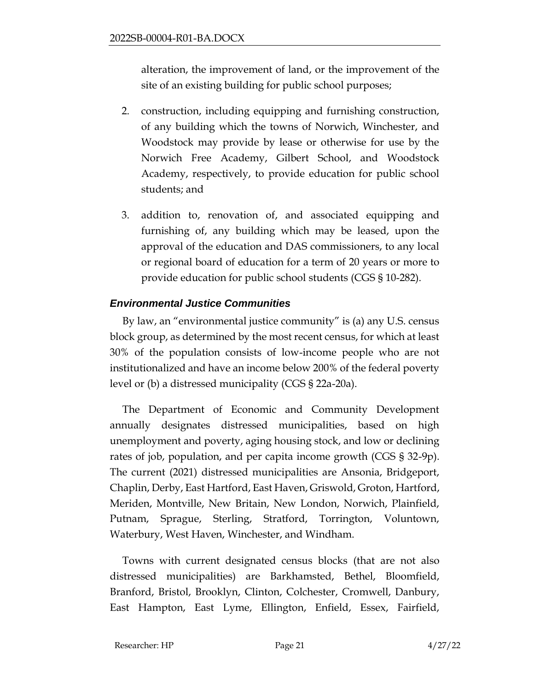alteration, the improvement of land, or the improvement of the site of an existing building for public school purposes;

- 2. construction, including equipping and furnishing construction, of any building which the towns of Norwich, Winchester, and Woodstock may provide by lease or otherwise for use by the Norwich Free Academy, Gilbert School, and Woodstock Academy, respectively, to provide education for public school students; and
- 3. addition to, renovation of, and associated equipping and furnishing of, any building which may be leased, upon the approval of the education and DAS commissioners, to any local or regional board of education for a term of 20 years or more to provide education for public school students (CGS § 10-282).

## *Environmental Justice Communities*

By law, an "environmental justice community" is (a) any U.S. census block group, as determined by the most recent census, for which at least 30% of the population consists of low-income people who are not institutionalized and have an income below 200% of the federal poverty level or (b) a distressed municipality (CGS § 22a-20a).

The Department of Economic and Community Development annually designates distressed municipalities, based on high unemployment and poverty, aging housing stock, and low or declining rates of job, population, and per capita income growth (CGS § 32-9p). The current (2021) distressed municipalities are Ansonia, Bridgeport, Chaplin, Derby, East Hartford, East Haven, Griswold, Groton, Hartford, Meriden, Montville, New Britain, New London, Norwich, Plainfield, Putnam, Sprague, Sterling, Stratford, Torrington, Voluntown, Waterbury, West Haven, Winchester, and Windham.

Towns with current designated census blocks (that are not also distressed municipalities) are Barkhamsted, Bethel, Bloomfield, Branford, Bristol, Brooklyn, Clinton, Colchester, Cromwell, Danbury, East Hampton, East Lyme, Ellington, Enfield, Essex, Fairfield,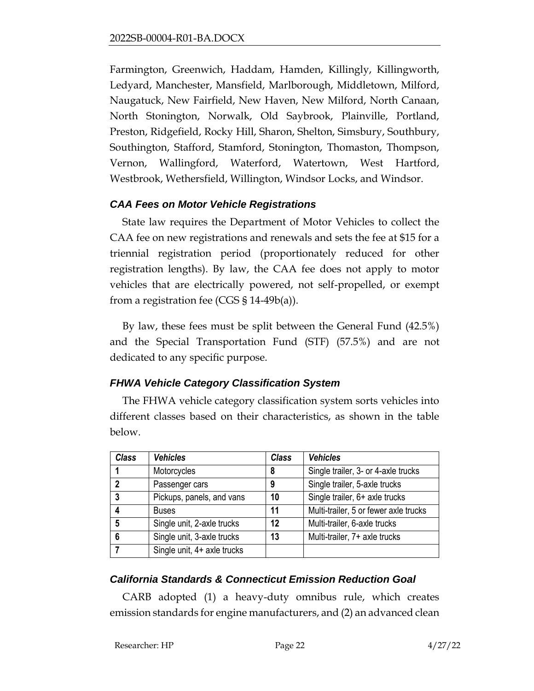Farmington, Greenwich, Haddam, Hamden, Killingly, Killingworth, Ledyard, Manchester, Mansfield, Marlborough, Middletown, Milford, Naugatuck, New Fairfield, New Haven, New Milford, North Canaan, North Stonington, Norwalk, Old Saybrook, Plainville, Portland, Preston, Ridgefield, Rocky Hill, Sharon, Shelton, Simsbury, Southbury, Southington, Stafford, Stamford, Stonington, Thomaston, Thompson, Vernon, Wallingford, Waterford, Watertown, West Hartford, Westbrook, Wethersfield, Willington, Windsor Locks, and Windsor.

## *CAA Fees on Motor Vehicle Registrations*

State law requires the Department of Motor Vehicles to collect the CAA fee on new registrations and renewals and sets the fee at \$15 for a triennial registration period (proportionately reduced for other registration lengths). By law, the CAA fee does not apply to motor vehicles that are electrically powered, not self-propelled, or exempt from a registration fee (CGS § 14-49b(a)).

By law, these fees must be split between the General Fund (42.5%) and the Special Transportation Fund (STF) (57.5%) and are not dedicated to any specific purpose.

## *FHWA Vehicle Category Classification System*

The FHWA vehicle category classification system sorts vehicles into different classes based on their characteristics, as shown in the table below.

| <b>Class</b>    | <b>Vehicles</b>             | <b>Class</b> | <b>Vehicles</b>                       |
|-----------------|-----------------------------|--------------|---------------------------------------|
|                 | Motorcycles                 | 8            | Single trailer, 3- or 4-axle trucks   |
| $\overline{2}$  | Passenger cars              | 9            | Single trailer, 5-axle trucks         |
| 3               | Pickups, panels, and vans   | 10           | Single trailer, 6+ axle trucks        |
|                 | <b>Buses</b>                | 11           | Multi-trailer, 5 or fewer axle trucks |
| $5\phantom{.0}$ | Single unit, 2-axle trucks  | 12           | Multi-trailer, 6-axle trucks          |
| 6               | Single unit, 3-axle trucks  | 13           | Multi-trailer, 7+ axle trucks         |
|                 | Single unit, 4+ axle trucks |              |                                       |

# *California Standards & Connecticut Emission Reduction Goal*

CARB adopted (1) a heavy-duty omnibus rule, which creates emission standards for engine manufacturers, and (2) an advanced clean